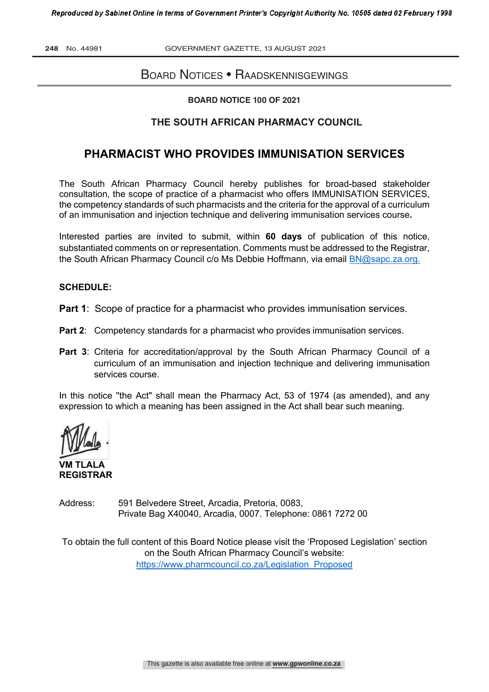**248** No. 44981 GOVERNMENT GAZETTE, 13 AUGUST 2021

# BOARD NOTICES • RAADSKENNISGEWINGS

#### **BOARD NOTICE 100 OF 2021**

### **THE SOUTH AFRICAN PHARMACY COUNCIL**

# **PHARMACIST WHO PROVIDES IMMUNISATION SERVICES**

The South African Pharmacy Council hereby publishes for broad-based stakeholder consultation, the scope of practice of a pharmacist who offers IMMUNISATION SERVICES, the competency standards of such pharmacists and the criteria for the approval of a curriculum of an immunisation and injection technique and delivering immunisation services course**.** 

Interested parties are invited to submit, within **60 days** of publication of this notice, substantiated comments on or representation. Comments must be addressed to the Registrar, the South African Pharmacy Council c/o Ms Debbie Hoffmann, via email BN@sapc.za.org.

#### **SCHEDULE:**

**Part 1:** Scope of practice for a pharmacist who provides immunisation services.

- **Part 2:** Competency standards for a pharmacist who provides immunisation services.
- Part 3: Criteria for accreditation/approval by the South African Pharmacy Council of a curriculum of an immunisation and injection technique and delivering immunisation services course.

In this notice "the Act" shall mean the Pharmacy Act, 53 of 1974 (as amended), and any expression to which a meaning has been assigned in the Act shall bear such meaning.

**VM TLALA REGISTRAR**

Address: 591 Belvedere Street, Arcadia, Pretoria, 0083, Private Bag X40040, Arcadia, 0007. Telephone: 0861 7272 00

To obtain the full content of this Board Notice please visit the 'Proposed Legislation' section on the South African Pharmacy Council's website: https://www.pharmcouncil.co.za/Legislation\_Proposed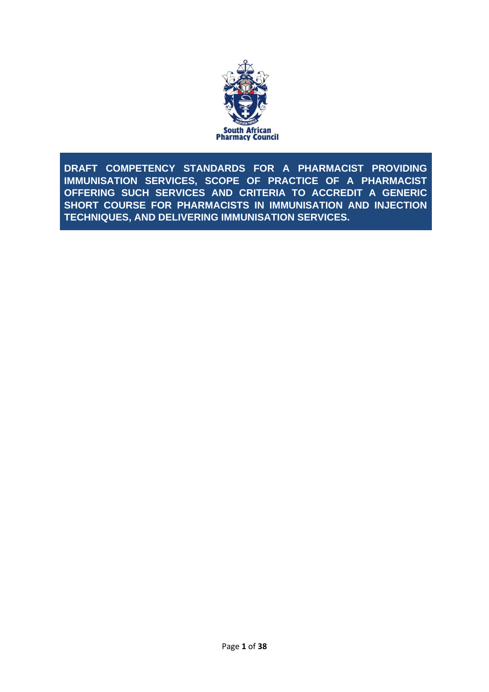

<span id="page-1-0"></span>**DRAFT COMPETENCY STANDARDS FOR A PHARMACIST PROVIDING IMMUNISATION SERVICES, SCOPE OF PRACTICE OF A PHARMACIST OFFERING SUCH SERVICES AND CRITERIA TO ACCREDIT A GENERIC SHORT COURSE FOR PHARMACISTS IN IMMUNISATION AND INJECTION TECHNIQUES, AND DELIVERING IMMUNISATION SERVICES.**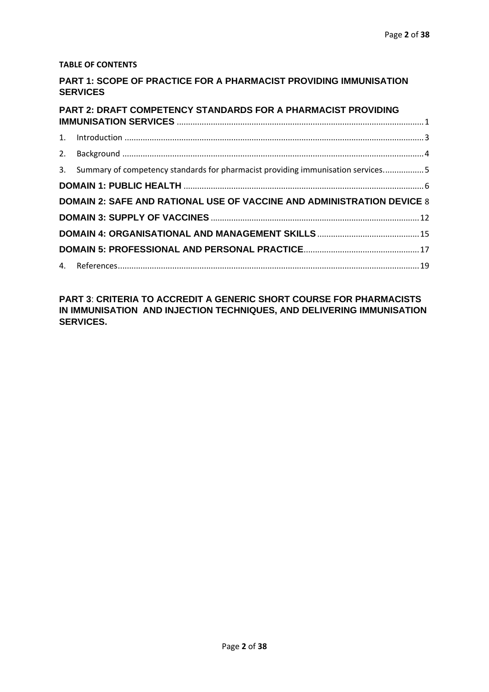#### **TABLE OF CONTENTS**

### **PART 1: SCOPE OF PRACTICE FOR A PHARMACIST PROVIDING IMMUNISATION SERVICES**

| PART 2: DRAFT COMPETENCY STANDARDS FOR A PHARMACIST PROVIDING                      |  |
|------------------------------------------------------------------------------------|--|
|                                                                                    |  |
|                                                                                    |  |
| 3. Summary of competency standards for pharmacist providing immunisation services5 |  |
|                                                                                    |  |
| <b>DOMAIN 2: SAFE AND RATIONAL USE OF VACCINE AND ADMINISTRATION DEVICE 8</b>      |  |
|                                                                                    |  |
|                                                                                    |  |
|                                                                                    |  |
|                                                                                    |  |

**PART 3**: **CRITERIA TO ACCREDIT A GENERIC SHORT COURSE FOR PHARMACISTS IN IMMUNISATION AND INJECTION TECHNIQUES, AND DELIVERING IMMUNISATION SERVICES.**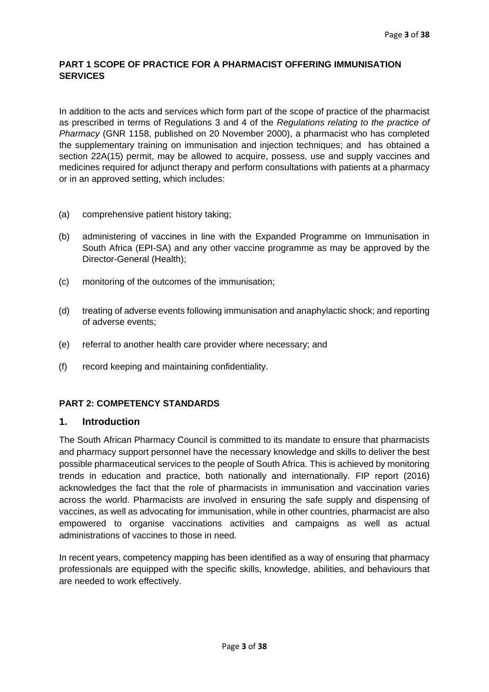#### <span id="page-3-0"></span>**PART 1 SCOPE OF PRACTICE FOR A PHARMACIST OFFERING IMMUNISATION SERVICES**

In addition to the acts and services which form part of the scope of practice of the pharmacist as prescribed in terms of Regulations 3 and 4 of the *Regulations relating to the practice of Pharmacy* (GNR 1158, published on 20 November 2000), a pharmacist who has completed the supplementary training on immunisation and injection techniques; and has obtained a section 22A(15) permit, may be allowed to acquire, possess, use and supply vaccines and medicines required for adjunct therapy and perform consultations with patients at a pharmacy or in an approved setting, which includes:

- (a) comprehensive patient history taking;
- (b) administering of vaccines in line with the Expanded Programme on Immunisation in South Africa (EPI-SA) and any other vaccine programme as may be approved by the Director-General (Health);
- (c) monitoring of the outcomes of the immunisation;
- (d) treating of adverse events following immunisation and anaphylactic shock; and reporting of adverse events;
- (e) referral to another health care provider where necessary; and
- (f) record keeping and maintaining confidentiality.

#### **PART 2: COMPETENCY STANDARDS**

#### **1. Introduction**

The South African Pharmacy Council is committed to its mandate to ensure that pharmacists and pharmacy support personnel have the necessary knowledge and skills to deliver the best possible pharmaceutical services to the people of South Africa. This is achieved by monitoring trends in education and practice, both nationally and internationally. FIP report (2016) acknowledges the fact that the role of pharmacists in immunisation and vaccination varies across the world. Pharmacists are involved in ensuring the safe supply and dispensing of vaccines, as well as advocating for immunisation, while in other countries, pharmacist are also empowered to organise vaccinations activities and campaigns as well as actual administrations of vaccines to those in need.

In recent years, competency mapping has been identified as a way of ensuring that pharmacy professionals are equipped with the specific skills, knowledge, abilities, and behaviours that are needed to work effectively.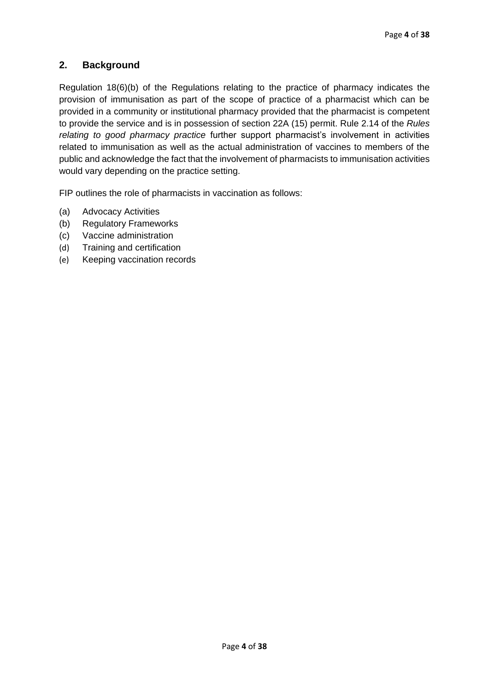# <span id="page-4-0"></span>**2. Background**

Regulation 18(6)(b) of the Regulations relating to the practice of pharmacy indicates the provision of immunisation as part of the scope of practice of a pharmacist which can be provided in a community or institutional pharmacy provided that the pharmacist is competent to provide the service and is in possession of section 22A (15) permit. Rule 2.14 of the *Rules relating to good pharmacy practice* further support pharmacist's involvement in activities related to immunisation as well as the actual administration of vaccines to members of the public and acknowledge the fact that the involvement of pharmacists to immunisation activities would vary depending on the practice setting.

FIP outlines the role of pharmacists in vaccination as follows:

- (a) Advocacy Activities
- (b) Regulatory Frameworks
- (c) Vaccine administration
- (d) Training and certification
- (e) Keeping vaccination records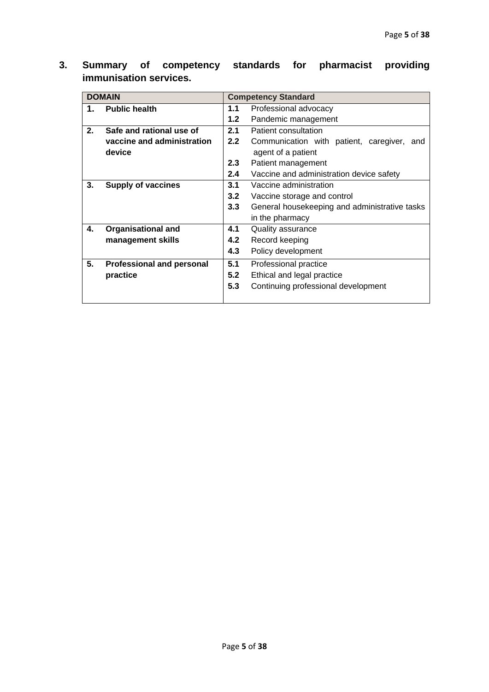| <b>DOMAIN</b> |                                  |     | <b>Competency Standard</b>                    |  |  |
|---------------|----------------------------------|-----|-----------------------------------------------|--|--|
| 1.            | <b>Public health</b>             | 1.1 | Professional advocacy                         |  |  |
|               |                                  | 1.2 | Pandemic management                           |  |  |
| 2.            | Safe and rational use of         | 2.1 | Patient consultation                          |  |  |
|               | vaccine and administration       | 2.2 | Communication with patient, caregiver, and    |  |  |
|               | device                           |     | agent of a patient                            |  |  |
|               |                                  | 2.3 | Patient management                            |  |  |
|               |                                  | 2.4 | Vaccine and administration device safety      |  |  |
| 3.            | <b>Supply of vaccines</b>        | 3.1 | Vaccine administration                        |  |  |
|               |                                  | 3.2 | Vaccine storage and control                   |  |  |
|               |                                  | 3.3 | General housekeeping and administrative tasks |  |  |
|               |                                  |     | in the pharmacy                               |  |  |
| 4.            | <b>Organisational and</b>        | 4.1 | Quality assurance                             |  |  |
|               | management skills                | 4.2 | Record keeping                                |  |  |
|               |                                  | 4.3 | Policy development                            |  |  |
| 5.            | <b>Professional and personal</b> | 5.1 | Professional practice                         |  |  |
|               | practice                         | 5.2 | Ethical and legal practice                    |  |  |
|               |                                  | 5.3 | Continuing professional development           |  |  |
|               |                                  |     |                                               |  |  |

<span id="page-5-0"></span>**3. Summary of competency standards for pharmacist providing immunisation services.**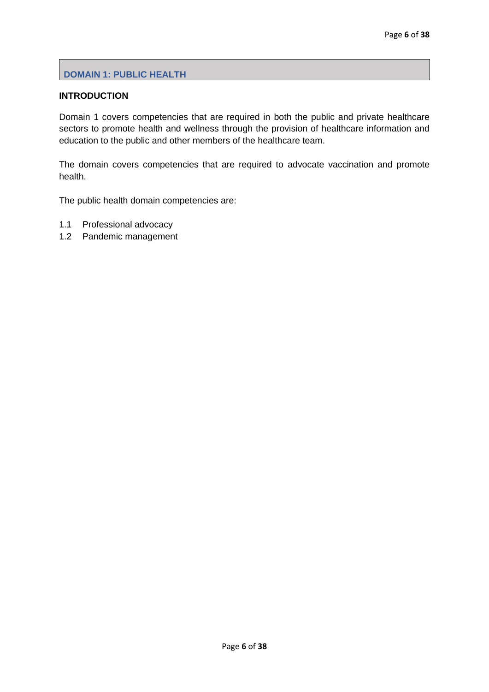### <span id="page-6-0"></span>**DOMAIN 1: PUBLIC HEALTH**

### **INTRODUCTION**

Domain 1 covers competencies that are required in both the public and private healthcare sectors to promote health and wellness through the provision of healthcare information and education to the public and other members of the healthcare team.

The domain covers competencies that are required to advocate vaccination and promote health.

The public health domain competencies are:

- 1.1 Professional advocacy
- 1.2 Pandemic management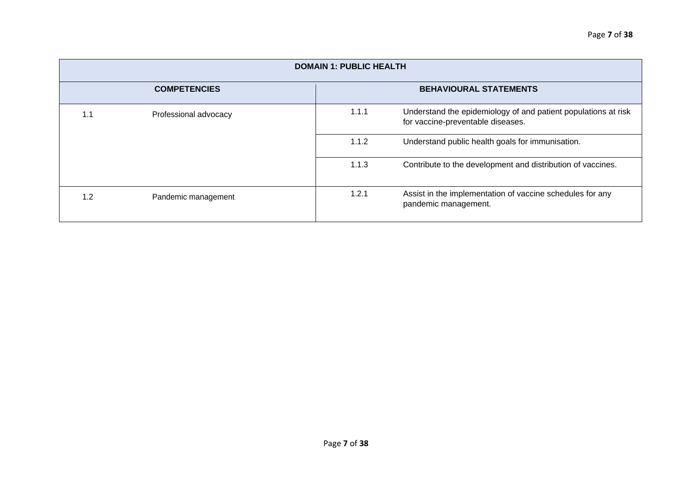| <b>DOMAIN 1: PUBLIC HEALTH</b>                       |                       |       |                                                                                                     |  |
|------------------------------------------------------|-----------------------|-------|-----------------------------------------------------------------------------------------------------|--|
| <b>COMPETENCIES</b><br><b>BEHAVIOURAL STATEMENTS</b> |                       |       |                                                                                                     |  |
| 1.1                                                  | Professional advocacy | 1.1.1 | Understand the epidemiology of and patient populations at risk<br>for vaccine-preventable diseases. |  |
|                                                      |                       | 1.1.2 | Understand public health goals for immunisation.                                                    |  |
|                                                      |                       | 1.1.3 | Contribute to the development and distribution of vaccines.                                         |  |
| 1.2                                                  | Pandemic management   | 1.2.1 | Assist in the implementation of vaccine schedules for any<br>pandemic management.                   |  |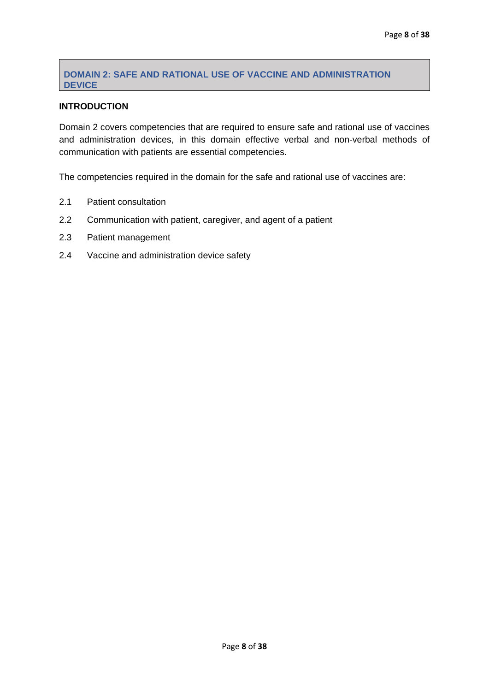### <span id="page-8-0"></span>**DOMAIN 2: SAFE AND RATIONAL USE OF VACCINE AND ADMINISTRATION DEVICE**

### **INTRODUCTION**

Domain 2 covers competencies that are required to ensure safe and rational use of vaccines and administration devices, in this domain effective verbal and non-verbal methods of communication with patients are essential competencies.

The competencies required in the domain for the safe and rational use of vaccines are:

- 2.1 Patient consultation
- 2.2 Communication with patient, caregiver, and agent of a patient
- 2.3 Patient management
- 2.4 Vaccine and administration device safety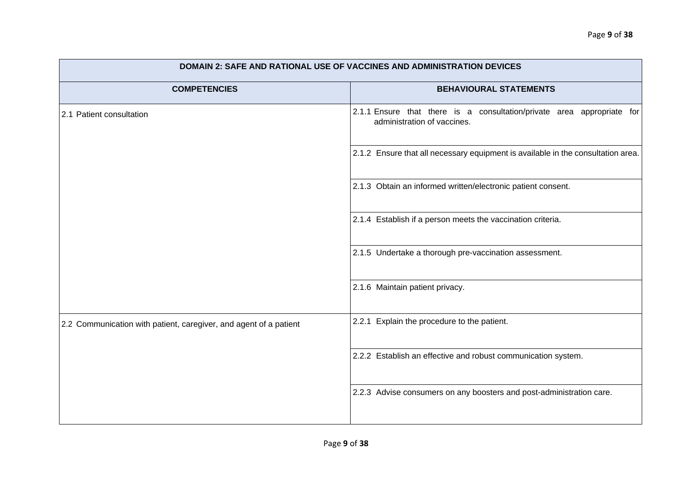| <b>DOMAIN 2: SAFE AND RATIONAL USE OF VACCINES AND ADMINISTRATION DEVICES</b> |                                                                                                       |  |  |  |
|-------------------------------------------------------------------------------|-------------------------------------------------------------------------------------------------------|--|--|--|
| <b>COMPETENCIES</b>                                                           | <b>BEHAVIOURAL STATEMENTS</b>                                                                         |  |  |  |
| 2.1 Patient consultation                                                      | 2.1.1 Ensure that there is a consultation/private area appropriate for<br>administration of vaccines. |  |  |  |
|                                                                               | 2.1.2 Ensure that all necessary equipment is available in the consultation area.                      |  |  |  |
|                                                                               | 2.1.3 Obtain an informed written/electronic patient consent.                                          |  |  |  |
|                                                                               | 2.1.4 Establish if a person meets the vaccination criteria.                                           |  |  |  |
|                                                                               | 2.1.5 Undertake a thorough pre-vaccination assessment.                                                |  |  |  |
|                                                                               | 2.1.6 Maintain patient privacy.                                                                       |  |  |  |
| 2.2 Communication with patient, caregiver, and agent of a patient             | 2.2.1 Explain the procedure to the patient.                                                           |  |  |  |
|                                                                               | 2.2.2 Establish an effective and robust communication system.                                         |  |  |  |
|                                                                               | 2.2.3 Advise consumers on any boosters and post-administration care.                                  |  |  |  |
|                                                                               |                                                                                                       |  |  |  |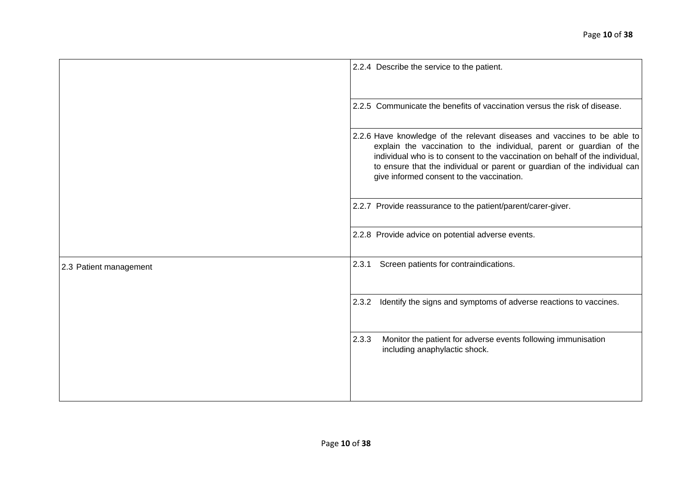|                        | 2.2.4 Describe the service to the patient.                                                                                                                                                                                                                                                                                                                 |
|------------------------|------------------------------------------------------------------------------------------------------------------------------------------------------------------------------------------------------------------------------------------------------------------------------------------------------------------------------------------------------------|
|                        | 2.2.5 Communicate the benefits of vaccination versus the risk of disease.                                                                                                                                                                                                                                                                                  |
|                        | 2.2.6 Have knowledge of the relevant diseases and vaccines to be able to<br>explain the vaccination to the individual, parent or guardian of the<br>individual who is to consent to the vaccination on behalf of the individual,<br>to ensure that the individual or parent or guardian of the individual can<br>give informed consent to the vaccination. |
|                        | 2.2.7 Provide reassurance to the patient/parent/carer-giver.                                                                                                                                                                                                                                                                                               |
|                        | 2.2.8 Provide advice on potential adverse events.                                                                                                                                                                                                                                                                                                          |
| 2.3 Patient management | 2.3.1<br>Screen patients for contraindications.                                                                                                                                                                                                                                                                                                            |
|                        | Identify the signs and symptoms of adverse reactions to vaccines.<br>2.3.2                                                                                                                                                                                                                                                                                 |
|                        | 2.3.3<br>Monitor the patient for adverse events following immunisation<br>including anaphylactic shock.                                                                                                                                                                                                                                                    |
|                        |                                                                                                                                                                                                                                                                                                                                                            |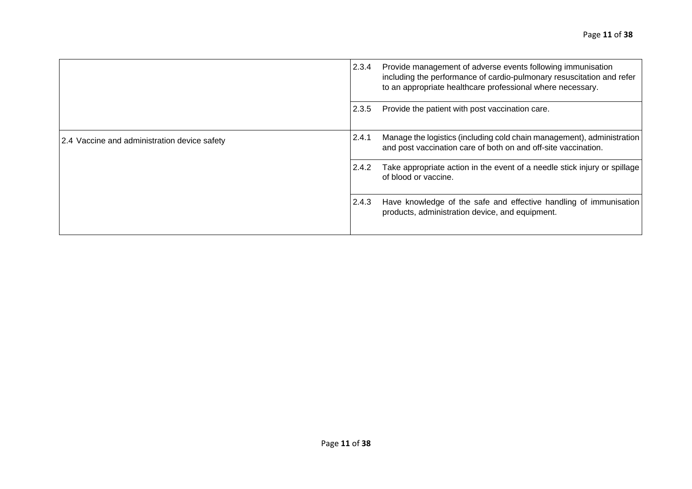|                                              | 2.3.4 | Provide management of adverse events following immunisation<br>including the performance of cardio-pulmonary resuscitation and refer<br>to an appropriate healthcare professional where necessary. |
|----------------------------------------------|-------|----------------------------------------------------------------------------------------------------------------------------------------------------------------------------------------------------|
|                                              | 2.3.5 | Provide the patient with post vaccination care.                                                                                                                                                    |
| 2.4 Vaccine and administration device safety | 2.4.1 | Manage the logistics (including cold chain management), administration<br>and post vaccination care of both on and off-site vaccination.                                                           |
|                                              | 2.4.2 | Take appropriate action in the event of a needle stick injury or spillage<br>of blood or vaccine.                                                                                                  |
|                                              | 2.4.3 | Have knowledge of the safe and effective handling of immunisation<br>products, administration device, and equipment.                                                                               |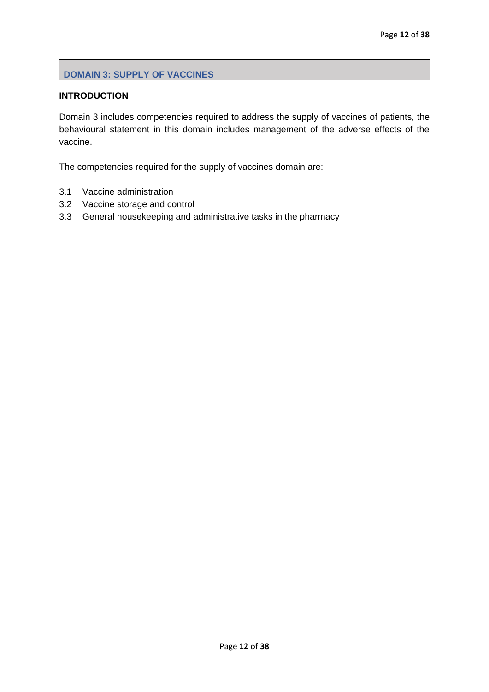### <span id="page-12-0"></span>**DOMAIN 3: SUPPLY OF VACCINES**

### **INTRODUCTION**

Domain 3 includes competencies required to address the supply of vaccines of patients, the behavioural statement in this domain includes management of the adverse effects of the vaccine.

The competencies required for the supply of vaccines domain are:

- 3.1 Vaccine administration
- 3.2 Vaccine storage and control
- 3.3 General housekeeping and administrative tasks in the pharmacy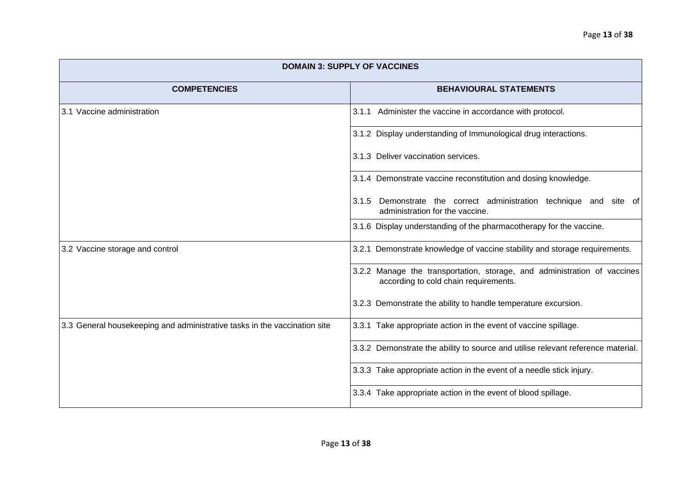| <b>DOMAIN 3: SUPPLY OF VACCINES</b>                                       |                                                                                                                   |  |  |
|---------------------------------------------------------------------------|-------------------------------------------------------------------------------------------------------------------|--|--|
| <b>COMPETENCIES</b>                                                       | <b>BEHAVIOURAL STATEMENTS</b>                                                                                     |  |  |
| 3.1 Vaccine administration                                                | 3.1.1 Administer the vaccine in accordance with protocol.                                                         |  |  |
|                                                                           | 3.1.2 Display understanding of Immunological drug interactions.                                                   |  |  |
|                                                                           | 3.1.3 Deliver vaccination services.                                                                               |  |  |
|                                                                           | 3.1.4 Demonstrate vaccine reconstitution and dosing knowledge.                                                    |  |  |
|                                                                           | 3.1.5 Demonstrate the correct administration technique and site of<br>administration for the vaccine.             |  |  |
|                                                                           | 3.1.6 Display understanding of the pharmacotherapy for the vaccine.                                               |  |  |
| 3.2 Vaccine storage and control                                           | 3.2.1 Demonstrate knowledge of vaccine stability and storage requirements.                                        |  |  |
|                                                                           | 3.2.2 Manage the transportation, storage, and administration of vaccines<br>according to cold chain requirements. |  |  |
|                                                                           | 3.2.3 Demonstrate the ability to handle temperature excursion.                                                    |  |  |
| 3.3 General housekeeping and administrative tasks in the vaccination site | 3.3.1 Take appropriate action in the event of vaccine spillage.                                                   |  |  |
|                                                                           | 3.3.2 Demonstrate the ability to source and utilise relevant reference material.                                  |  |  |
|                                                                           | 3.3.3 Take appropriate action in the event of a needle stick injury.                                              |  |  |
|                                                                           | 3.3.4 Take appropriate action in the event of blood spillage.                                                     |  |  |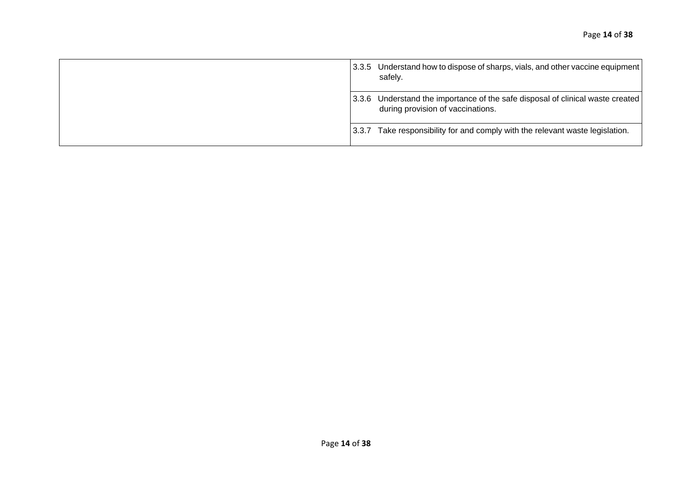| 13.3.5 | Understand how to dispose of sharps, vials, and other vaccine equipment<br>safely.                            |
|--------|---------------------------------------------------------------------------------------------------------------|
| 13.3.6 | Understand the importance of the safe disposal of clinical waste created<br>during provision of vaccinations. |
| 13.3.7 | Take responsibility for and comply with the relevant waste legislation.                                       |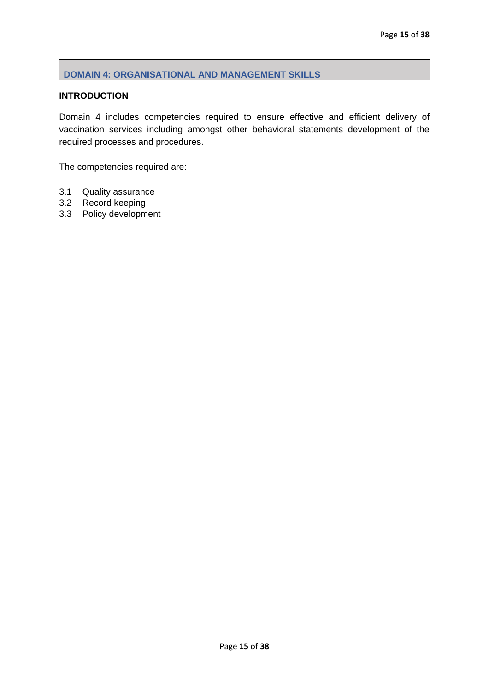### <span id="page-15-0"></span>**DOMAIN 4: ORGANISATIONAL AND MANAGEMENT SKILLS**

### **INTRODUCTION**

Domain 4 includes competencies required to ensure effective and efficient delivery of vaccination services including amongst other behavioral statements development of the required processes and procedures.

The competencies required are:

- 3.1 Quality assurance
- 3.2 Record keeping
- 3.3 Policy development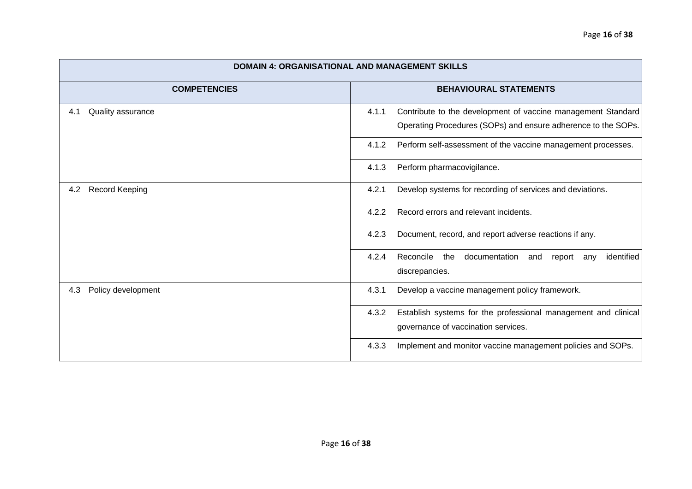| <b>DOMAIN 4: ORGANISATIONAL AND MANAGEMENT SKILLS</b> |                                                                                                                |  |  |
|-------------------------------------------------------|----------------------------------------------------------------------------------------------------------------|--|--|
| <b>COMPETENCIES</b>                                   | <b>BEHAVIOURAL STATEMENTS</b>                                                                                  |  |  |
| Quality assurance<br>4.1                              | 4.1.1<br>Contribute to the development of vaccine management Standard                                          |  |  |
|                                                       | Operating Procedures (SOPs) and ensure adherence to the SOPs.                                                  |  |  |
|                                                       | Perform self-assessment of the vaccine management processes.<br>4.1.2                                          |  |  |
|                                                       | Perform pharmacovigilance.<br>4.1.3                                                                            |  |  |
| <b>Record Keeping</b><br>4.2                          | 4.2.1<br>Develop systems for recording of services and deviations.                                             |  |  |
|                                                       | Record errors and relevant incidents.<br>4.2.2                                                                 |  |  |
|                                                       | Document, record, and report adverse reactions if any.<br>4.2.3                                                |  |  |
|                                                       | 4.2.4<br>identified<br>Reconcile<br>documentation<br>the<br>report<br>and<br>any<br>discrepancies.             |  |  |
| Policy development<br>4.3                             | 4.3.1<br>Develop a vaccine management policy framework.                                                        |  |  |
|                                                       | Establish systems for the professional management and clinical<br>4.3.2<br>governance of vaccination services. |  |  |
|                                                       | 4.3.3<br>Implement and monitor vaccine management policies and SOPs.                                           |  |  |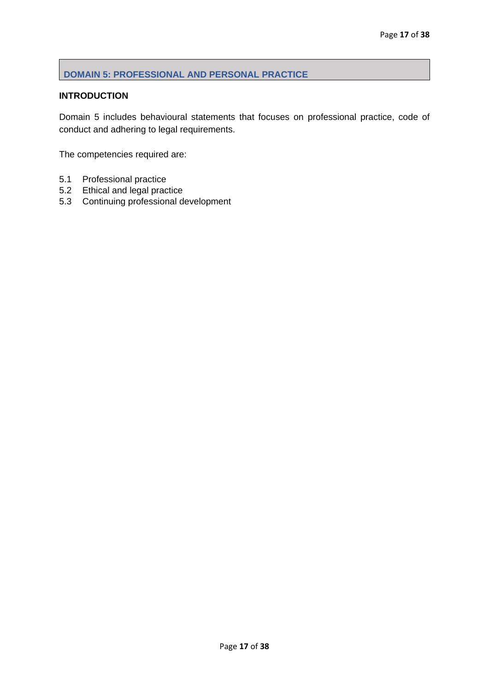### <span id="page-17-0"></span>**DOMAIN 5: PROFESSIONAL AND PERSONAL PRACTICE**

### **INTRODUCTION**

Domain 5 includes behavioural statements that focuses on professional practice, code of conduct and adhering to legal requirements.

The competencies required are:

- 5.1 Professional practice
- 5.2 Ethical and legal practice
- 5.3 Continuing professional development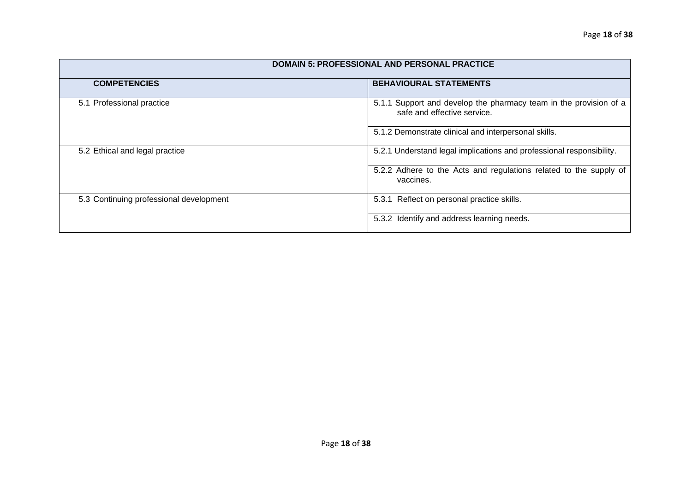| <b>DOMAIN 5: PROFESSIONAL AND PERSONAL PRACTICE</b> |                                                                                                  |  |  |
|-----------------------------------------------------|--------------------------------------------------------------------------------------------------|--|--|
| <b>COMPETENCIES</b>                                 | <b>BEHAVIOURAL STATEMENTS</b>                                                                    |  |  |
| 5.1 Professional practice                           | 5.1.1 Support and develop the pharmacy team in the provision of a<br>safe and effective service. |  |  |
|                                                     | 5.1.2 Demonstrate clinical and interpersonal skills.                                             |  |  |
| 5.2 Ethical and legal practice                      | 5.2.1 Understand legal implications and professional responsibility.                             |  |  |
|                                                     | 5.2.2 Adhere to the Acts and regulations related to the supply of<br>vaccines.                   |  |  |
| 5.3 Continuing professional development             | 5.3.1 Reflect on personal practice skills.                                                       |  |  |
|                                                     | 5.3.2 Identify and address learning needs.                                                       |  |  |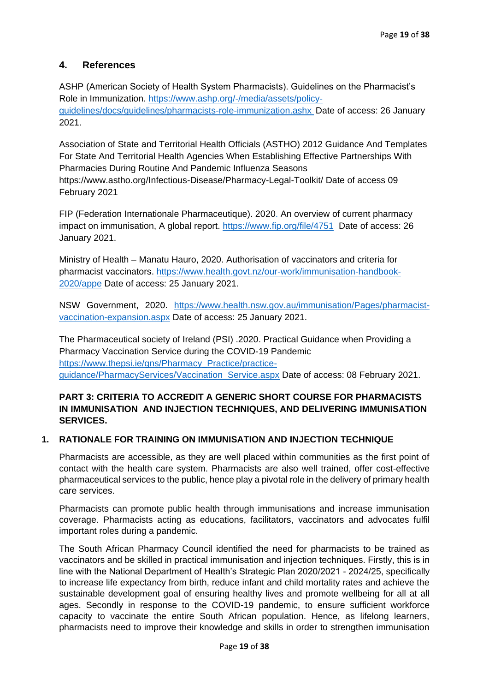## <span id="page-19-0"></span>**4. References**

ASHP (American Society of Health System Pharmacists). Guidelines on the Pharmacist's Role in Immunization. https://www.ashp.org/-/media/assets/policyguidelines/docs/guidelines/pharmacists-role-immunization.ashx Date of access: 26 January 2021.

Association of State and Territorial Health Officials (ASTHO) 2012 Guidance And Templates For State And Territorial Health Agencies When Establishing Effective Partnerships With Pharmacies During Routine And Pandemic Influenza Seasons <https://www.astho.org/Infectious-Disease/Pharmacy-Legal-Toolkit/> Date of access 09 February 2021

FIP (Federation Internationale Pharmaceutique). 2020. An overview of current pharmacy impact on immunisation, A global report.<https://www.fip.org/file/4751> Date of access: 26 January 2021.

Ministry of Health – Manatu Hauro, 2020. Authorisation of vaccinators and criteria for pharmacist vaccinators. [https://www.health.govt.nz/our-work/immunisation-handbook-](https://www.health.govt.nz/our-work/immunisation-handbook-2020/appe)[2020/appe](https://www.health.govt.nz/our-work/immunisation-handbook-2020/appe) Date of access: 25 January 2021.

NSW Government, 2020. [https://www.health.nsw.gov.au/immunisation/Pages/pharmacist](https://www.health.nsw.gov.au/immunisation/Pages/pharmacist-vaccination-expansion.aspx)[vaccination-expansion.aspx](https://www.health.nsw.gov.au/immunisation/Pages/pharmacist-vaccination-expansion.aspx) Date of access: 25 January 2021.

The Pharmaceutical society of Ireland (PSI) .2020. Practical Guidance when Providing a Pharmacy Vaccination Service during the COVID-19 Pandemic [https://www.thepsi.ie/gns/Pharmacy\\_Practice/practice](https://www.thepsi.ie/gns/Pharmacy_Practice/practice-guidance/PharmacyServices/Vaccination_Service.aspx)[guidance/PharmacyServices/Vaccination\\_Service.aspx](https://www.thepsi.ie/gns/Pharmacy_Practice/practice-guidance/PharmacyServices/Vaccination_Service.aspx) Date of access: 08 February 2021.

### **PART 3: CRITERIA TO ACCREDIT A GENERIC SHORT COURSE FOR PHARMACISTS IN IMMUNISATION AND INJECTION TECHNIQUES, AND DELIVERING IMMUNISATION SERVICES.**

#### **1. RATIONALE FOR TRAINING ON IMMUNISATION AND INJECTION TECHNIQUE**

Pharmacists are accessible, as they are well placed within communities as the first point of contact with the health care system. Pharmacists are also well trained, offer cost-effective pharmaceutical services to the public, hence play a pivotal role in the delivery of primary health care services.

Pharmacists can promote public health through immunisations and increase immunisation coverage. Pharmacists acting as educations, facilitators, vaccinators and advocates fulfil important roles during a pandemic.

The South African Pharmacy Council identified the need for pharmacists to be trained as vaccinators and be skilled in practical immunisation and injection techniques. Firstly, this is in line with the National Department of Health's Strategic Plan 2020/2021 - 2024/25, specifically to increase life expectancy from birth, reduce infant and child mortality rates and achieve the sustainable development goal of ensuring healthy lives and promote wellbeing for all at all ages. Secondly in response to the COVID-19 pandemic, to ensure sufficient workforce capacity to vaccinate the entire South African population. Hence, as lifelong learners, pharmacists need to improve their knowledge and skills in order to strengthen immunisation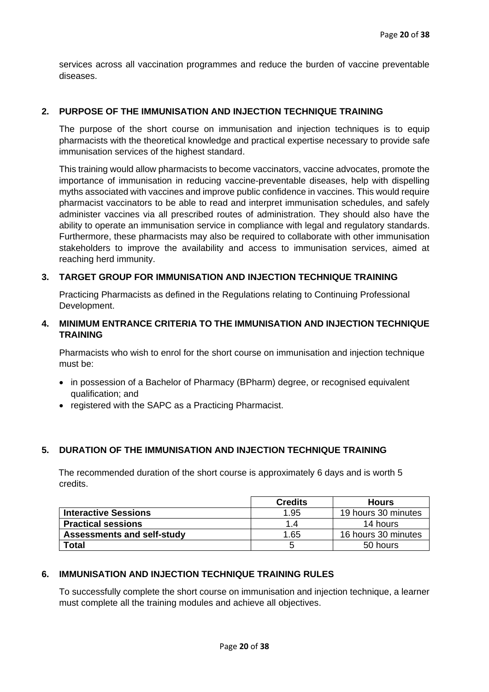services across all vaccination programmes and reduce the burden of vaccine preventable diseases.

#### **2. PURPOSE OF THE IMMUNISATION AND INJECTION TECHNIQUE TRAINING**

The purpose of the short course on immunisation and injection techniques is to equip pharmacists with the theoretical knowledge and practical expertise necessary to provide safe immunisation services of the highest standard.

This training would allow pharmacists to become vaccinators, vaccine advocates, promote the importance of immunisation in reducing vaccine-preventable diseases, help with dispelling myths associated with vaccines and improve public confidence in vaccines. This would require pharmacist vaccinators to be able to read and interpret immunisation schedules, and safely administer vaccines via all prescribed routes of administration. They should also have the ability to operate an immunisation service in compliance with legal and regulatory standards. Furthermore, these pharmacists may also be required to collaborate with other immunisation stakeholders to improve the availability and access to immunisation services, aimed at reaching herd immunity.

#### **3. TARGET GROUP FOR IMMUNISATION AND INJECTION TECHNIQUE TRAINING**

Practicing Pharmacists as defined in the Regulations relating to Continuing Professional Development.

### **4. MINIMUM ENTRANCE CRITERIA TO THE IMMUNISATION AND INJECTION TECHNIQUE TRAINING**

Pharmacists who wish to enrol for the short course on immunisation and injection technique must be:

- in possession of a Bachelor of Pharmacy (BPharm) degree, or recognised equivalent qualification; and
- registered with the SAPC as a Practicing Pharmacist.

#### **5. DURATION OF THE IMMUNISATION AND INJECTION TECHNIQUE TRAINING**

The recommended duration of the short course is approximately 6 days and is worth 5 credits.

|                                   | <b>Credits</b><br><b>Hours</b> |                     |  |
|-----------------------------------|--------------------------------|---------------------|--|
| <b>Interactive Sessions</b>       | 19 hours 30 minutes<br>1.95    |                     |  |
| <b>Practical sessions</b>         | 1.4                            | 14 hours            |  |
| <b>Assessments and self-study</b> | 1.65                           | 16 hours 30 minutes |  |
| Total                             | 50 hours                       |                     |  |

#### **6. IMMUNISATION AND INJECTION TECHNIQUE TRAINING RULES**

To successfully complete the short course on immunisation and injection technique, a learner must complete all the training modules and achieve all objectives.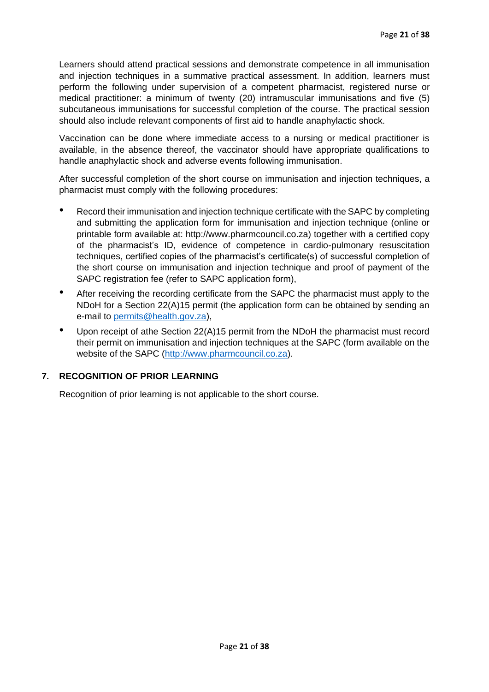Learners should attend practical sessions and demonstrate competence in all immunisation and injection techniques in a summative practical assessment. In addition, learners must perform the following under supervision of a competent pharmacist, registered nurse or medical practitioner: a minimum of twenty (20) intramuscular immunisations and five (5) subcutaneous immunisations for successful completion of the course. The practical session should also include relevant components of first aid to handle anaphylactic shock.

Vaccination can be done where immediate access to a nursing or medical practitioner is available, in the absence thereof, the vaccinator should have appropriate qualifications to handle anaphylactic shock and adverse events following immunisation.

After successful completion of the short course on immunisation and injection techniques, a pharmacist must comply with the following procedures:

- Record their immunisation and injection technique certificate with the SAPC by completing and submitting the application form for immunisation and injection technique (online or printable form available at: http://www.pharmcouncil.co.za) together with a certified copy of the pharmacist's ID, evidence of competence in cardio-pulmonary resuscitation techniques, certified copies of the pharmacist's certificate(s) of successful completion of the short course on immunisation and injection technique and proof of payment of the SAPC registration fee (refer to SAPC application form),
- After receiving the recording certificate from the SAPC the pharmacist must apply to the NDoH for a Section 22(A)15 permit (the application form can be obtained by sending an e-mail to [permits@health.gov.za\)](mailto:permits@health.gov.za),
- Upon receipt of athe Section 22(A)15 permit from the NDoH the pharmacist must record their permit on immunisation and injection techniques at the SAPC (form available on the website of the SAPC [\(http://www.pharmcouncil.co.za\)](http://www.pharmcouncil.co.za/).

### **7. RECOGNITION OF PRIOR LEARNING**

Recognition of prior learning is not applicable to the short course.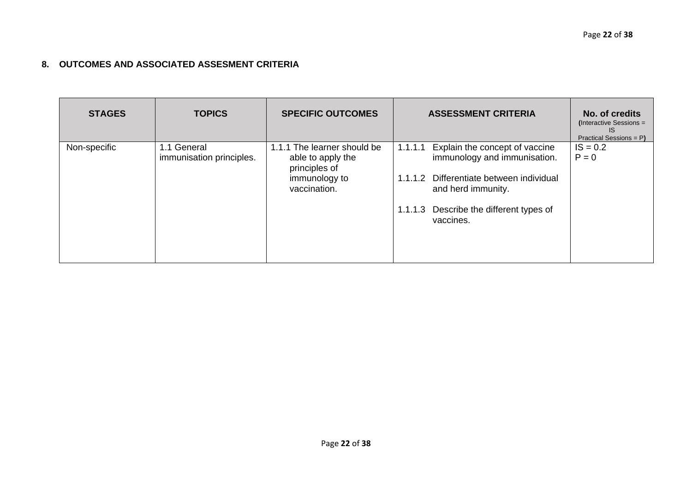# **8. OUTCOMES AND ASSOCIATED ASSESMENT CRITERIA**

| <b>STAGES</b> | <b>TOPICS</b>                           | <b>SPECIFIC OUTCOMES</b>                                                                           | <b>ASSESSMENT CRITERIA</b>                                                                                                                                                                          | No. of credits<br>(Interactive Sessions =<br>IS<br>Practical Sessions = P) |
|---------------|-----------------------------------------|----------------------------------------------------------------------------------------------------|-----------------------------------------------------------------------------------------------------------------------------------------------------------------------------------------------------|----------------------------------------------------------------------------|
| Non-specific  | 1.1 General<br>immunisation principles. | 1.1.1 The learner should be<br>able to apply the<br>principles of<br>immunology to<br>vaccination. | Explain the concept of vaccine<br>1.1.1.1<br>immunology and immunisation.<br>1.1.1.2 Differentiate between individual<br>and herd immunity.<br>1.1.1.3 Describe the different types of<br>vaccines. | $IS = 0.2$<br>$P = 0$                                                      |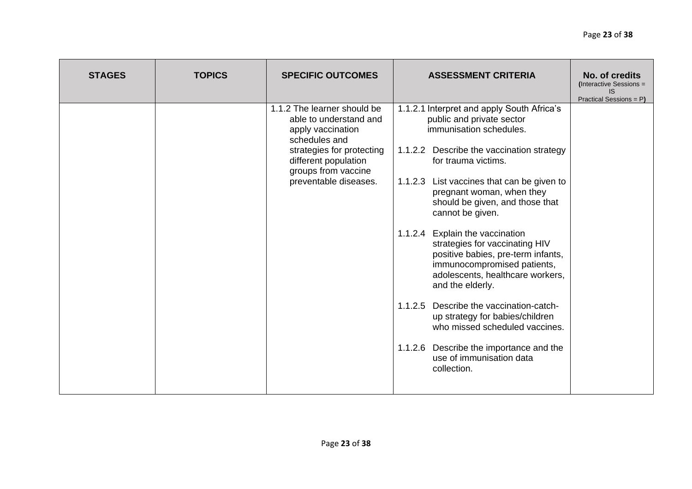| <b>STAGES</b> | <b>TOPICS</b> | <b>SPECIFIC OUTCOMES</b>                                                                                                                                                                         | <b>ASSESSMENT CRITERIA</b>                                                                                                                                                                                                                                                                                                                                                                                                                                                                                                                                                                                                                                                                                          | No. of credits<br>(Interactive Sessions =<br>IS<br>Practical Sessions = P) |
|---------------|---------------|--------------------------------------------------------------------------------------------------------------------------------------------------------------------------------------------------|---------------------------------------------------------------------------------------------------------------------------------------------------------------------------------------------------------------------------------------------------------------------------------------------------------------------------------------------------------------------------------------------------------------------------------------------------------------------------------------------------------------------------------------------------------------------------------------------------------------------------------------------------------------------------------------------------------------------|----------------------------------------------------------------------------|
|               |               | 1.1.2 The learner should be<br>able to understand and<br>apply vaccination<br>schedules and<br>strategies for protecting<br>different population<br>groups from vaccine<br>preventable diseases. | 1.1.2.1 Interpret and apply South Africa's<br>public and private sector<br>immunisation schedules.<br>1.1.2.2 Describe the vaccination strategy<br>for trauma victims.<br>1.1.2.3 List vaccines that can be given to<br>pregnant woman, when they<br>should be given, and those that<br>cannot be given.<br>1.1.2.4 Explain the vaccination<br>strategies for vaccinating HIV<br>positive babies, pre-term infants,<br>immunocompromised patients,<br>adolescents, healthcare workers,<br>and the elderly.<br>1.1.2.5<br>Describe the vaccination-catch-<br>up strategy for babies/children<br>who missed scheduled vaccines.<br>1.1.2.6 Describe the importance and the<br>use of immunisation data<br>collection. |                                                                            |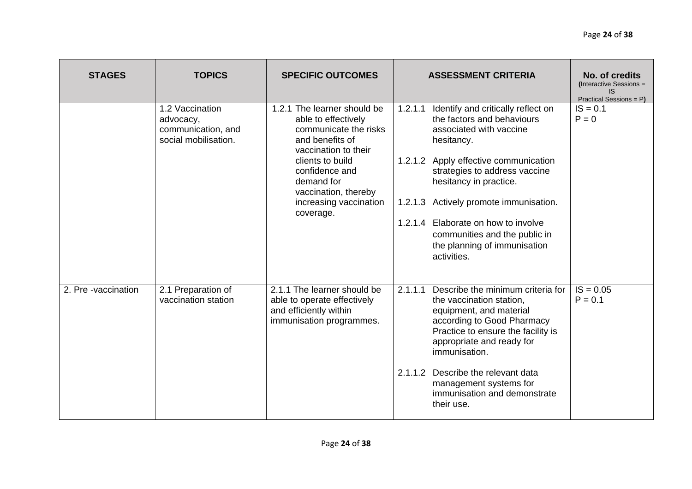| <b>STAGES</b>       | <b>TOPICS</b>                                                              | <b>SPECIFIC OUTCOMES</b>                                                                                                                                                                                                                  | <b>ASSESSMENT CRITERIA</b>                                                                                                                                                                                                                                                                                                                                                                      | No. of credits<br>(Interactive Sessions =<br>IS.<br>Practical Sessions = P) |
|---------------------|----------------------------------------------------------------------------|-------------------------------------------------------------------------------------------------------------------------------------------------------------------------------------------------------------------------------------------|-------------------------------------------------------------------------------------------------------------------------------------------------------------------------------------------------------------------------------------------------------------------------------------------------------------------------------------------------------------------------------------------------|-----------------------------------------------------------------------------|
|                     | 1.2 Vaccination<br>advocacy,<br>communication, and<br>social mobilisation. | 1.2.1 The learner should be<br>able to effectively<br>communicate the risks<br>and benefits of<br>vaccination to their<br>clients to build<br>confidence and<br>demand for<br>vaccination, thereby<br>increasing vaccination<br>coverage. | Identify and critically reflect on<br>1.2.1.1<br>the factors and behaviours<br>associated with vaccine<br>hesitancy.<br>1.2.1.2 Apply effective communication<br>strategies to address vaccine<br>hesitancy in practice.<br>Actively promote immunisation.<br>1.2.1.3<br>Elaborate on how to involve<br>1.2.1.4<br>communities and the public in<br>the planning of immunisation<br>activities. | $IS = 0.1$<br>$P = 0$                                                       |
| 2. Pre -vaccination | 2.1 Preparation of<br>vaccination station                                  | 2.1.1 The learner should be<br>able to operate effectively<br>and efficiently within<br>immunisation programmes.                                                                                                                          | Describe the minimum criteria for<br>2.1.1.1<br>the vaccination station,<br>equipment, and material<br>according to Good Pharmacy<br>Practice to ensure the facility is<br>appropriate and ready for<br>immunisation.<br>Describe the relevant data<br>2.1.1.2<br>management systems for<br>immunisation and demonstrate<br>their use.                                                          | $IS = 0.05$<br>$P = 0.1$                                                    |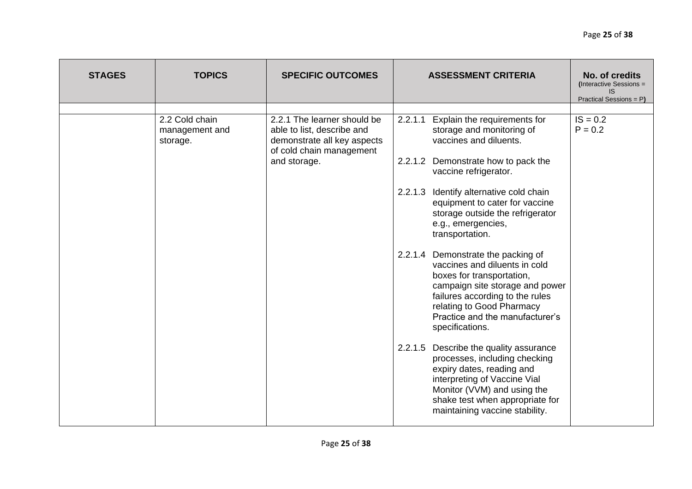|                                                                                                                                                                                                                                                                                                                                                                                                                                                                                                                                                                                                                                                                                                                                                                                                                                                                                                                                                                                                                                                                  | <b>STAGES</b> | <b>TOPICS</b> | <b>SPECIFIC OUTCOMES</b> | <b>ASSESSMENT CRITERIA</b> | No. of credits<br>(Interactive Sessions =<br>IS.<br>Practical Sessions = P) |
|------------------------------------------------------------------------------------------------------------------------------------------------------------------------------------------------------------------------------------------------------------------------------------------------------------------------------------------------------------------------------------------------------------------------------------------------------------------------------------------------------------------------------------------------------------------------------------------------------------------------------------------------------------------------------------------------------------------------------------------------------------------------------------------------------------------------------------------------------------------------------------------------------------------------------------------------------------------------------------------------------------------------------------------------------------------|---------------|---------------|--------------------------|----------------------------|-----------------------------------------------------------------------------|
| 2.2 Cold chain<br>$IS = 0.2$<br>2.2.1 The learner should be<br>Explain the requirements for<br>2.2.1.1<br>storage and monitoring of<br>$P = 0.2$<br>able to list, describe and<br>management and<br>vaccines and diluents.<br>demonstrate all key aspects<br>storage.<br>of cold chain management<br>and storage.<br>2.2.1.2<br>Demonstrate how to pack the<br>vaccine refrigerator.<br>2.2.1.3<br>Identify alternative cold chain<br>equipment to cater for vaccine<br>storage outside the refrigerator<br>e.g., emergencies,<br>transportation.<br>2.2.1.4<br>Demonstrate the packing of<br>vaccines and diluents in cold<br>boxes for transportation,<br>campaign site storage and power<br>failures according to the rules<br>relating to Good Pharmacy<br>Practice and the manufacturer's<br>specifications.<br>2.2.1.5<br>Describe the quality assurance<br>processes, including checking<br>expiry dates, reading and<br>interpreting of Vaccine Vial<br>Monitor (VVM) and using the<br>shake test when appropriate for<br>maintaining vaccine stability. |               |               |                          |                            |                                                                             |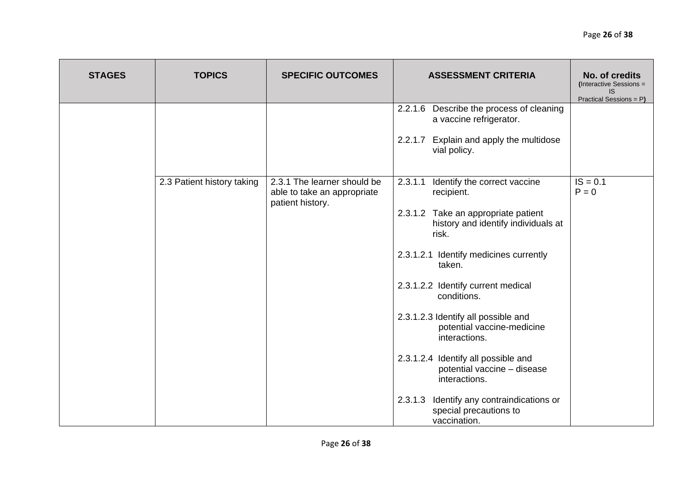| <b>STAGES</b> | <b>TOPICS</b>              | <b>SPECIFIC OUTCOMES</b>                                                       | <b>ASSESSMENT CRITERIA</b>                                                             | No. of credits<br>(Interactive Sessions =<br><b>IS</b><br>Practical Sessions = P) |
|---------------|----------------------------|--------------------------------------------------------------------------------|----------------------------------------------------------------------------------------|-----------------------------------------------------------------------------------|
|               |                            |                                                                                | Describe the process of cleaning<br>2.2.1.6<br>a vaccine refrigerator.                 |                                                                                   |
|               |                            |                                                                                | Explain and apply the multidose<br>2.2.1.7<br>vial policy.                             |                                                                                   |
|               | 2.3 Patient history taking | 2.3.1 The learner should be<br>able to take an appropriate<br>patient history. | 2.3.1.1<br>Identify the correct vaccine<br>recipient.                                  | $IS = 0.1$<br>$P = 0$                                                             |
|               |                            |                                                                                | 2.3.1.2 Take an appropriate patient<br>history and identify individuals at<br>risk.    |                                                                                   |
|               |                            |                                                                                | 2.3.1.2.1 Identify medicines currently<br>taken.                                       |                                                                                   |
|               |                            |                                                                                | 2.3.1.2.2 Identify current medical<br>conditions.                                      |                                                                                   |
|               |                            |                                                                                | 2.3.1.2.3 Identify all possible and<br>potential vaccine-medicine<br>interactions.     |                                                                                   |
|               |                            |                                                                                | 2.3.1.2.4 Identify all possible and<br>potential vaccine - disease<br>interactions.    |                                                                                   |
|               |                            |                                                                                | 2.3.1.3<br>Identify any contraindications or<br>special precautions to<br>vaccination. |                                                                                   |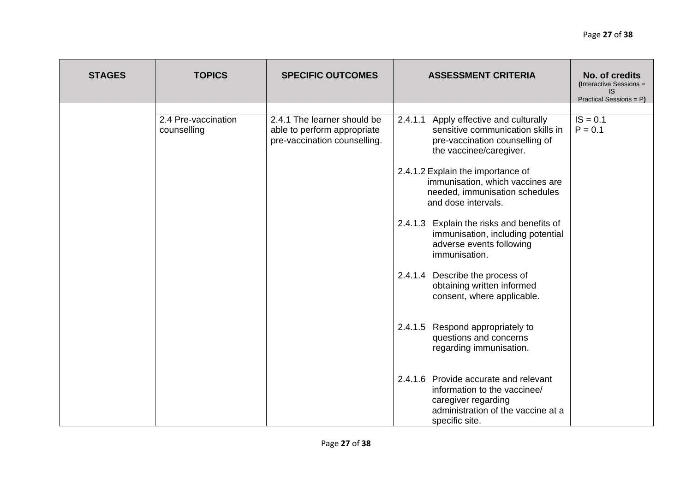| <b>STAGES</b> | <b>TOPICS</b>                      | <b>SPECIFIC OUTCOMES</b>                                                                   | <b>ASSESSMENT CRITERIA</b>                                                                                                                                                                                                                                                                                                                                                                                                                                                                                                                                                                              | No. of credits<br>(Interactive Sessions =<br>IS.<br>Practical Sessions = P) |
|---------------|------------------------------------|--------------------------------------------------------------------------------------------|---------------------------------------------------------------------------------------------------------------------------------------------------------------------------------------------------------------------------------------------------------------------------------------------------------------------------------------------------------------------------------------------------------------------------------------------------------------------------------------------------------------------------------------------------------------------------------------------------------|-----------------------------------------------------------------------------|
|               | 2.4 Pre-vaccination<br>counselling | 2.4.1 The learner should be<br>able to perform appropriate<br>pre-vaccination counselling. | Apply effective and culturally<br>2.4.1.1<br>sensitive communication skills in<br>pre-vaccination counselling of<br>the vaccinee/caregiver.<br>2.4.1.2 Explain the importance of<br>immunisation, which vaccines are<br>needed, immunisation schedules<br>and dose intervals.<br>2.4.1.3 Explain the risks and benefits of<br>immunisation, including potential<br>adverse events following<br>immunisation.<br>2.4.1.4 Describe the process of<br>obtaining written informed<br>consent, where applicable.<br>Respond appropriately to<br>2.4.1.5<br>questions and concerns<br>regarding immunisation. | $IS = 0.1$<br>$P = 0.1$                                                     |
|               |                                    |                                                                                            | 2.4.1.6 Provide accurate and relevant<br>information to the vaccinee/<br>caregiver regarding<br>administration of the vaccine at a<br>specific site.                                                                                                                                                                                                                                                                                                                                                                                                                                                    |                                                                             |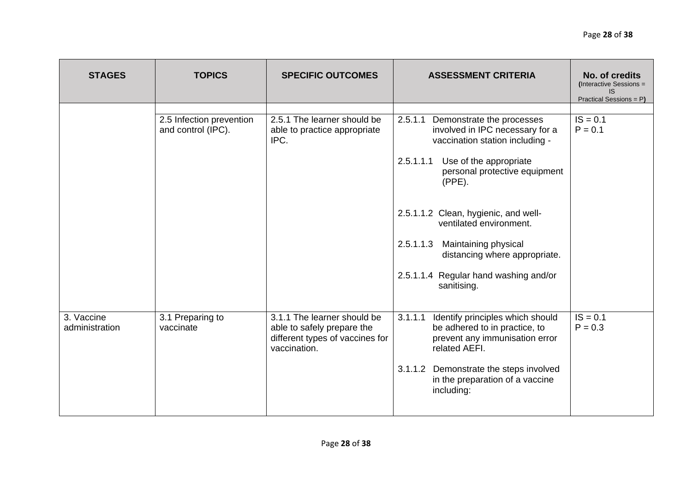| <b>STAGES</b>                | <b>TOPICS</b>                                  | <b>SPECIFIC OUTCOMES</b>                                                                                     | <b>ASSESSMENT CRITERIA</b>                                                                                                                                                                                                                                                                                                                                                                       | No. of credits<br>(Interactive Sessions =<br>IS.<br>Practical Sessions = P) |
|------------------------------|------------------------------------------------|--------------------------------------------------------------------------------------------------------------|--------------------------------------------------------------------------------------------------------------------------------------------------------------------------------------------------------------------------------------------------------------------------------------------------------------------------------------------------------------------------------------------------|-----------------------------------------------------------------------------|
|                              | 2.5 Infection prevention<br>and control (IPC). | 2.5.1 The learner should be<br>able to practice appropriate<br>IPC.                                          | 2.5.1.1<br>Demonstrate the processes<br>involved in IPC necessary for a<br>vaccination station including -<br>2.5.1.1.1<br>Use of the appropriate<br>personal protective equipment<br>$(PPE)$ .<br>2.5.1.1.2 Clean, hygienic, and well-<br>ventilated environment.<br>2.5.1.1.3<br>Maintaining physical<br>distancing where appropriate.<br>2.5.1.1.4 Regular hand washing and/or<br>sanitising. | $IS = 0.1$<br>$P = 0.1$                                                     |
| 3. Vaccine<br>administration | 3.1 Preparing to<br>vaccinate                  | 3.1.1 The learner should be<br>able to safely prepare the<br>different types of vaccines for<br>vaccination. | 3.1.1.1<br>Identify principles which should<br>be adhered to in practice, to<br>prevent any immunisation error<br>related AEFI.<br>3.1.1.2<br>Demonstrate the steps involved<br>in the preparation of a vaccine<br>including:                                                                                                                                                                    | $IS = 0.1$<br>$P = 0.3$                                                     |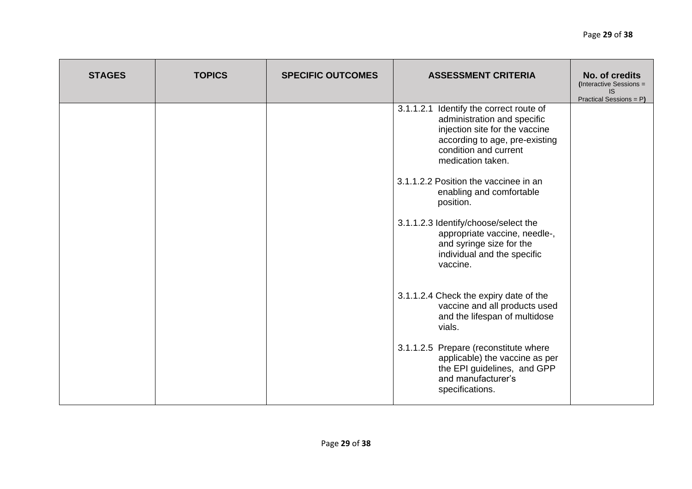| <b>STAGES</b> | <b>TOPICS</b> | <b>SPECIFIC OUTCOMES</b> | <b>ASSESSMENT CRITERIA</b>                                                                                                                                                               | No. of credits<br>(Interactive Sessions =<br>IS.<br>Practical Sessions = P) |
|---------------|---------------|--------------------------|------------------------------------------------------------------------------------------------------------------------------------------------------------------------------------------|-----------------------------------------------------------------------------|
|               |               |                          | 3.1.1.2.1 Identify the correct route of<br>administration and specific<br>injection site for the vaccine<br>according to age, pre-existing<br>condition and current<br>medication taken. |                                                                             |
|               |               |                          | 3.1.1.2.2 Position the vaccinee in an<br>enabling and comfortable<br>position.                                                                                                           |                                                                             |
|               |               |                          | 3.1.1.2.3 Identify/choose/select the<br>appropriate vaccine, needle-,<br>and syringe size for the<br>individual and the specific<br>vaccine.                                             |                                                                             |
|               |               |                          | 3.1.1.2.4 Check the expiry date of the<br>vaccine and all products used<br>and the lifespan of multidose<br>vials.                                                                       |                                                                             |
|               |               |                          | 3.1.1.2.5 Prepare (reconstitute where<br>applicable) the vaccine as per<br>the EPI guidelines, and GPP<br>and manufacturer's<br>specifications.                                          |                                                                             |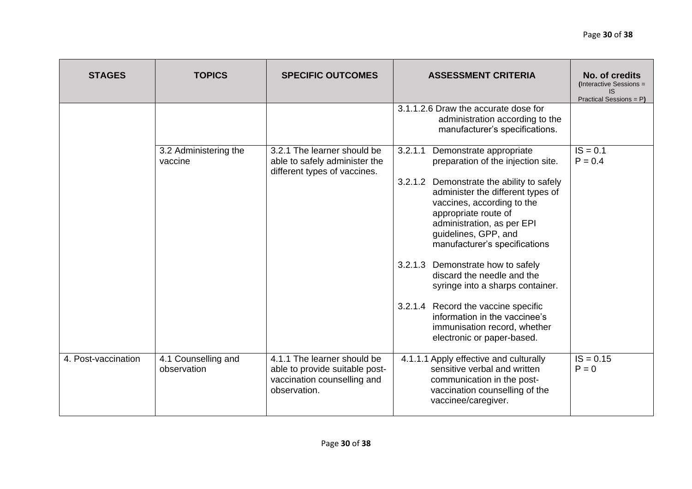| <b>STAGES</b>       | <b>TOPICS</b>                      | <b>SPECIFIC OUTCOMES</b>                                                                                     | <b>ASSESSMENT CRITERIA</b>                                                                                                                                                                                                                                                                                                                                                                                                                                                                                                                                 | No. of credits<br>(Interactive Sessions =<br>IS.<br>Practical Sessions = P) |
|---------------------|------------------------------------|--------------------------------------------------------------------------------------------------------------|------------------------------------------------------------------------------------------------------------------------------------------------------------------------------------------------------------------------------------------------------------------------------------------------------------------------------------------------------------------------------------------------------------------------------------------------------------------------------------------------------------------------------------------------------------|-----------------------------------------------------------------------------|
|                     |                                    |                                                                                                              | 3.1.1.2.6 Draw the accurate dose for<br>administration according to the<br>manufacturer's specifications.                                                                                                                                                                                                                                                                                                                                                                                                                                                  |                                                                             |
|                     | 3.2 Administering the<br>vaccine   | 3.2.1 The learner should be<br>able to safely administer the<br>different types of vaccines.                 | 3.2.1.1<br>Demonstrate appropriate<br>preparation of the injection site.<br>3.2.1.2<br>Demonstrate the ability to safely<br>administer the different types of<br>vaccines, according to the<br>appropriate route of<br>administration, as per EPI<br>guidelines, GPP, and<br>manufacturer's specifications<br>3.2.1.3<br>Demonstrate how to safely<br>discard the needle and the<br>syringe into a sharps container.<br>3.2.1.4 Record the vaccine specific<br>information in the vaccinee's<br>immunisation record, whether<br>electronic or paper-based. | $IS = 0.1$<br>$P = 0.4$                                                     |
| 4. Post-vaccination | 4.1 Counselling and<br>observation | 4.1.1 The learner should be<br>able to provide suitable post-<br>vaccination counselling and<br>observation. | 4.1.1.1 Apply effective and culturally<br>sensitive verbal and written<br>communication in the post-<br>vaccination counselling of the<br>vaccinee/caregiver.                                                                                                                                                                                                                                                                                                                                                                                              | $IS = 0.15$<br>$P = 0$                                                      |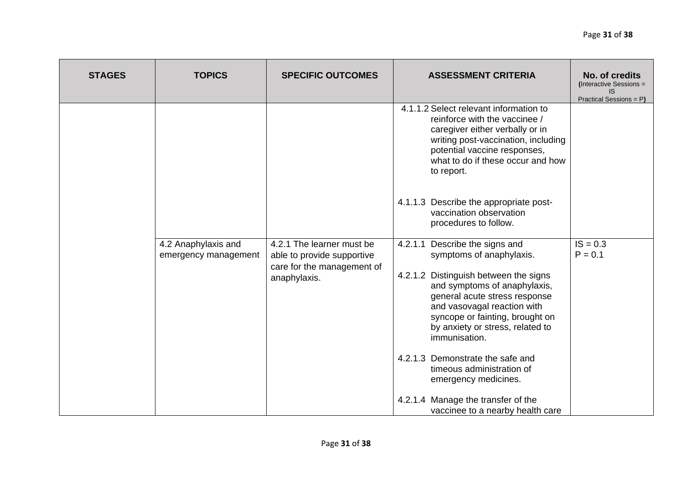| <b>STAGES</b> | <b>TOPICS</b>        | <b>SPECIFIC OUTCOMES</b>                                 | <b>ASSESSMENT CRITERIA</b>                                                                                                                                                                                                           | No. of credits<br>(Interactive Sessions =<br>IS.<br>Practical Sessions = P) |
|---------------|----------------------|----------------------------------------------------------|--------------------------------------------------------------------------------------------------------------------------------------------------------------------------------------------------------------------------------------|-----------------------------------------------------------------------------|
|               |                      |                                                          | 4.1.1.2 Select relevant information to<br>reinforce with the vaccinee /<br>caregiver either verbally or in<br>writing post-vaccination, including<br>potential vaccine responses,<br>what to do if these occur and how<br>to report. |                                                                             |
|               |                      |                                                          | 4.1.1.3 Describe the appropriate post-<br>vaccination observation<br>procedures to follow.                                                                                                                                           |                                                                             |
|               | 4.2 Anaphylaxis and  | 4.2.1 The learner must be                                | Describe the signs and<br>4.2.1.1                                                                                                                                                                                                    | $IS = 0.3$                                                                  |
|               | emergency management | able to provide supportive<br>care for the management of | symptoms of anaphylaxis.                                                                                                                                                                                                             | $P = 0.1$                                                                   |
|               |                      | anaphylaxis.                                             | 4.2.1.2 Distinguish between the signs<br>and symptoms of anaphylaxis,<br>general acute stress response<br>and vasovagal reaction with<br>syncope or fainting, brought on<br>by anxiety or stress, related to<br>immunisation.        |                                                                             |
|               |                      |                                                          | 4.2.1.3 Demonstrate the safe and<br>timeous administration of<br>emergency medicines.                                                                                                                                                |                                                                             |
|               |                      |                                                          | 4.2.1.4 Manage the transfer of the<br>vaccinee to a nearby health care                                                                                                                                                               |                                                                             |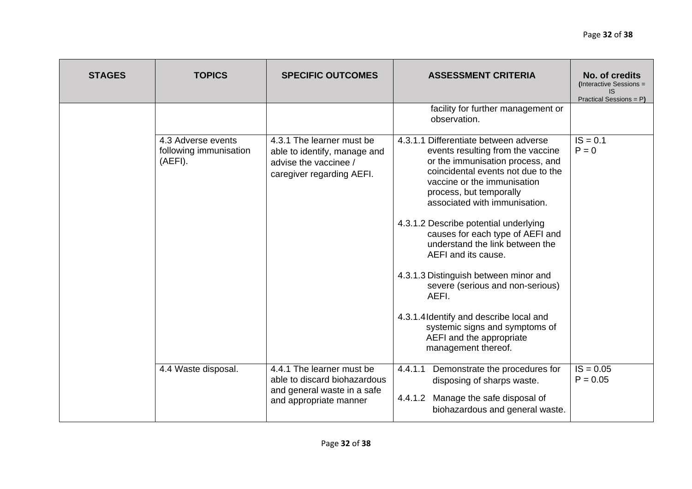| <b>STAGES</b> | <b>TOPICS</b>                                           | <b>SPECIFIC OUTCOMES</b>                                                                                           | <b>ASSESSMENT CRITERIA</b>                                                                                                                                                                                                                                                                                                                                                                                                                                                                                                                                                                                   | No. of credits<br>(Interactive Sessions =<br>IS<br>Practical Sessions = P) |
|---------------|---------------------------------------------------------|--------------------------------------------------------------------------------------------------------------------|--------------------------------------------------------------------------------------------------------------------------------------------------------------------------------------------------------------------------------------------------------------------------------------------------------------------------------------------------------------------------------------------------------------------------------------------------------------------------------------------------------------------------------------------------------------------------------------------------------------|----------------------------------------------------------------------------|
|               |                                                         |                                                                                                                    | facility for further management or<br>observation.                                                                                                                                                                                                                                                                                                                                                                                                                                                                                                                                                           |                                                                            |
|               | 4.3 Adverse events<br>following immunisation<br>(AEFI). | 4.3.1 The learner must be<br>able to identify, manage and<br>advise the vaccinee /<br>caregiver regarding AEFI.    | 4.3.1.1 Differentiate between adverse<br>events resulting from the vaccine<br>or the immunisation process, and<br>coincidental events not due to the<br>vaccine or the immunisation<br>process, but temporally<br>associated with immunisation.<br>4.3.1.2 Describe potential underlying<br>causes for each type of AEFI and<br>understand the link between the<br>AEFI and its cause.<br>4.3.1.3 Distinguish between minor and<br>severe (serious and non-serious)<br>AEFI.<br>4.3.1.4 Identify and describe local and<br>systemic signs and symptoms of<br>AEFI and the appropriate<br>management thereof. | $IS = 0.1$<br>$P = 0$                                                      |
|               | 4.4 Waste disposal.                                     | 4.4.1 The learner must be<br>able to discard biohazardous<br>and general waste in a safe<br>and appropriate manner | 4.4.1.1<br>Demonstrate the procedures for<br>disposing of sharps waste.<br>4.4.1.2<br>Manage the safe disposal of<br>biohazardous and general waste.                                                                                                                                                                                                                                                                                                                                                                                                                                                         | $IS = 0.05$<br>$P = 0.05$                                                  |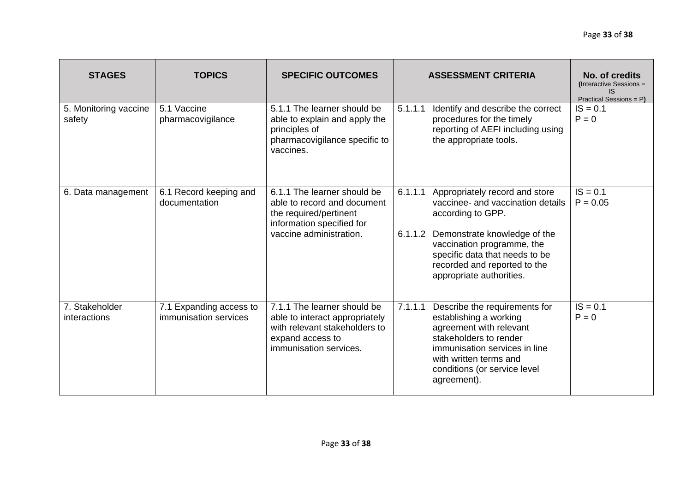| <b>STAGES</b>                   | <b>TOPICS</b>                                    | <b>SPECIFIC OUTCOMES</b>                                                                                                                     | <b>ASSESSMENT CRITERIA</b>                                                                                                                                                                       | No. of credits<br>(Interactive Sessions =<br>IS<br>Practical Sessions = P)                          |                          |
|---------------------------------|--------------------------------------------------|----------------------------------------------------------------------------------------------------------------------------------------------|--------------------------------------------------------------------------------------------------------------------------------------------------------------------------------------------------|-----------------------------------------------------------------------------------------------------|--------------------------|
| 5. Monitoring vaccine<br>safety | 5.1 Vaccine<br>pharmacovigilance                 | 5.1.1 The learner should be<br>able to explain and apply the<br>principles of<br>pharmacovigilance specific to<br>vaccines.                  | 5.1.1.1<br>procedures for the timely<br>the appropriate tools.                                                                                                                                   | Identify and describe the correct<br>reporting of AEFI including using                              | $IS = 0.1$<br>$P = 0$    |
| 6. Data management              | 6.1 Record keeping and<br>documentation          | 6.1.1 The learner should be<br>able to record and document<br>the required/pertinent<br>information specified for<br>vaccine administration. | 6.1.1.1<br>according to GPP.<br>6.1.1.2<br>vaccination programme, the<br>specific data that needs to be<br>recorded and reported to the<br>appropriate authorities.                              | Appropriately record and store<br>vaccinee- and vaccination details<br>Demonstrate knowledge of the | $IS = 0.1$<br>$P = 0.05$ |
| 7. Stakeholder<br>interactions  | 7.1 Expanding access to<br>immunisation services | 7.1.1 The learner should be<br>able to interact appropriately<br>with relevant stakeholders to<br>expand access to<br>immunisation services. | 7.1.1.1<br>establishing a working<br>agreement with relevant<br>stakeholders to render<br>immunisation services in line<br>with written terms and<br>conditions (or service level<br>agreement). | Describe the requirements for                                                                       | $IS = 0.1$<br>$P = 0$    |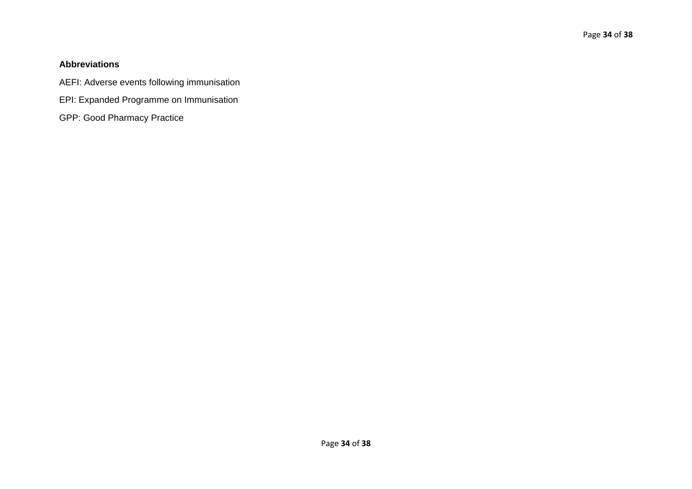# **Abbreviations**

AEFI: Adverse events following immunisation

- EPI: Expanded Programme on Immunisation
- GPP: Good Pharmacy Practice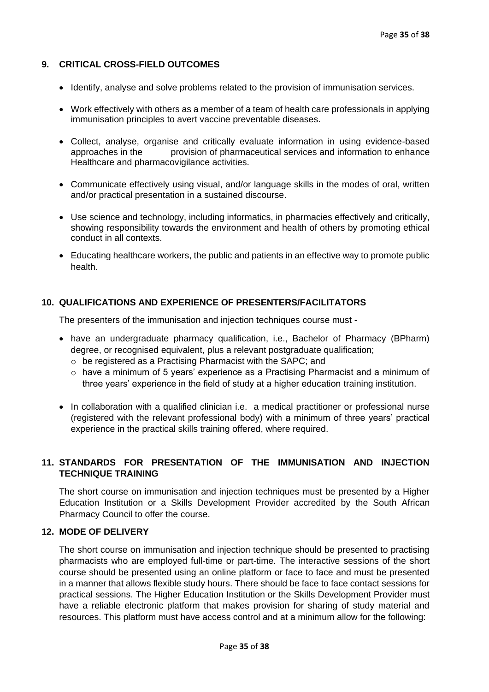#### **9. CRITICAL CROSS-FIELD OUTCOMES**

- Identify, analyse and solve problems related to the provision of immunisation services.
- Work effectively with others as a member of a team of health care professionals in applying immunisation principles to avert vaccine preventable diseases.
- Collect, analyse, organise and critically evaluate information in using evidence-based approaches in the provision of pharmaceutical services and information to enhance Healthcare and pharmacovigilance activities.
- Communicate effectively using visual, and/or language skills in the modes of oral, written and/or practical presentation in a sustained discourse.
- Use science and technology, including informatics, in pharmacies effectively and critically, showing responsibility towards the environment and health of others by promoting ethical conduct in all contexts.
- Educating healthcare workers, the public and patients in an effective way to promote public health.

#### **10. QUALIFICATIONS AND EXPERIENCE OF PRESENTERS/FACILITATORS**

The presenters of the immunisation and injection techniques course must -

- have an undergraduate pharmacy qualification, i.e., Bachelor of Pharmacy (BPharm) degree, or recognised equivalent, plus a relevant postgraduate qualification;
	- o be registered as a Practising Pharmacist with the SAPC; and
	- o have a minimum of 5 years' experience as a Practising Pharmacist and a minimum of three years' experience in the field of study at a higher education training institution.
- In collaboration with a qualified clinician i.e. a medical practitioner or professional nurse (registered with the relevant professional body) with a minimum of three years' practical experience in the practical skills training offered, where required.

### **11. STANDARDS FOR PRESENTATION OF THE IMMUNISATION AND INJECTION TECHNIQUE TRAINING**

The short course on immunisation and injection techniques must be presented by a Higher Education Institution or a Skills Development Provider accredited by the South African Pharmacy Council to offer the course.

#### **12. MODE OF DELIVERY**

The short course on immunisation and injection technique should be presented to practising pharmacists who are employed full-time or part-time. The interactive sessions of the short course should be presented using an online platform or face to face and must be presented in a manner that allows flexible study hours. There should be face to face contact sessions for practical sessions. The Higher Education Institution or the Skills Development Provider must have a reliable electronic platform that makes provision for sharing of study material and resources. This platform must have access control and at a minimum allow for the following: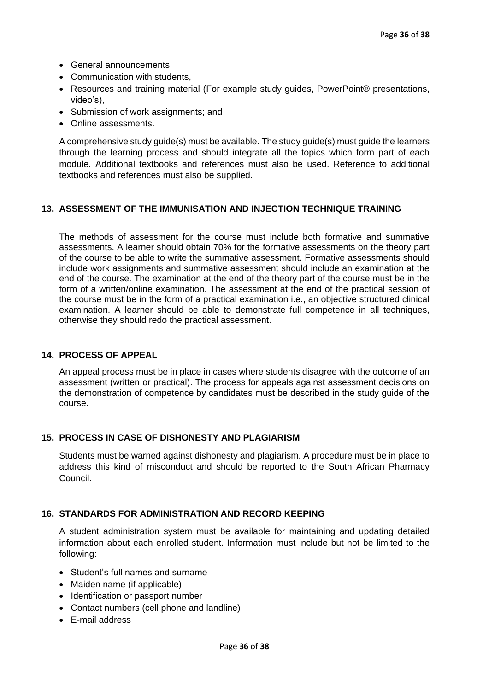- General announcements,
- Communication with students,
- Resources and training material (For example study quides, PowerPoint® presentations, video's),
- Submission of work assignments; and
- Online assessments.

A comprehensive study guide(s) must be available. The study guide(s) must guide the learners through the learning process and should integrate all the topics which form part of each module. Additional textbooks and references must also be used. Reference to additional textbooks and references must also be supplied.

#### **13. ASSESSMENT OF THE IMMUNISATION AND INJECTION TECHNIQUE TRAINING**

The methods of assessment for the course must include both formative and summative assessments. A learner should obtain 70% for the formative assessments on the theory part of the course to be able to write the summative assessment. Formative assessments should include work assignments and summative assessment should include an examination at the end of the course. The examination at the end of the theory part of the course must be in the form of a written/online examination. The assessment at the end of the practical session of the course must be in the form of a practical examination i.e., an objective structured clinical examination. A learner should be able to demonstrate full competence in all techniques, otherwise they should redo the practical assessment.

#### **14. PROCESS OF APPEAL**

An appeal process must be in place in cases where students disagree with the outcome of an assessment (written or practical). The process for appeals against assessment decisions on the demonstration of competence by candidates must be described in the study guide of the course.

#### **15. PROCESS IN CASE OF DISHONESTY AND PLAGIARISM**

Students must be warned against dishonesty and plagiarism. A procedure must be in place to address this kind of misconduct and should be reported to the South African Pharmacy Council.

#### **16. STANDARDS FOR ADMINISTRATION AND RECORD KEEPING**

A student administration system must be available for maintaining and updating detailed information about each enrolled student. Information must include but not be limited to the following:

- Student's full names and surname
- Maiden name (if applicable)
- Identification or passport number
- Contact numbers (cell phone and landline)
- E-mail address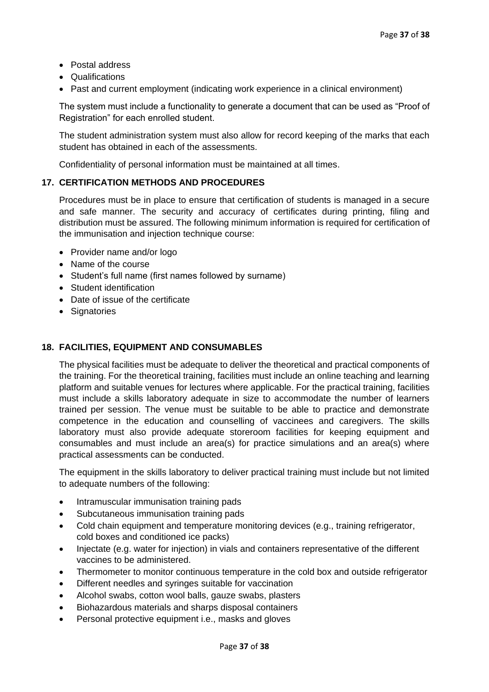- Postal address
- Qualifications
- Past and current employment (indicating work experience in a clinical environment)

The system must include a functionality to generate a document that can be used as "Proof of Registration" for each enrolled student.

The student administration system must also allow for record keeping of the marks that each student has obtained in each of the assessments.

Confidentiality of personal information must be maintained at all times.

### **17. CERTIFICATION METHODS AND PROCEDURES**

Procedures must be in place to ensure that certification of students is managed in a secure and safe manner. The security and accuracy of certificates during printing, filing and distribution must be assured. The following minimum information is required for certification of the immunisation and injection technique course:

- Provider name and/or logo
- Name of the course
- Student's full name (first names followed by surname)
- Student identification
- Date of issue of the certificate
- Signatories

### **18. FACILITIES, EQUIPMENT AND CONSUMABLES**

The physical facilities must be adequate to deliver the theoretical and practical components of the training. For the theoretical training, facilities must include an online teaching and learning platform and suitable venues for lectures where applicable. For the practical training, facilities must include a skills laboratory adequate in size to accommodate the number of learners trained per session. The venue must be suitable to be able to practice and demonstrate competence in the education and counselling of vaccinees and caregivers. The skills laboratory must also provide adequate storeroom facilities for keeping equipment and consumables and must include an area(s) for practice simulations and an area(s) where practical assessments can be conducted.

The equipment in the skills laboratory to deliver practical training must include but not limited to adequate numbers of the following:

- Intramuscular immunisation training pads
- Subcutaneous immunisation training pads
- Cold chain equipment and temperature monitoring devices (e.g., training refrigerator, cold boxes and conditioned ice packs)
- Injectate (e.g. water for injection) in vials and containers representative of the different vaccines to be administered.
- Thermometer to monitor continuous temperature in the cold box and outside refrigerator
- Different needles and syringes suitable for vaccination
- Alcohol swabs, cotton wool balls, gauze swabs, plasters
- Biohazardous materials and sharps disposal containers
- Personal protective equipment i.e., masks and gloves